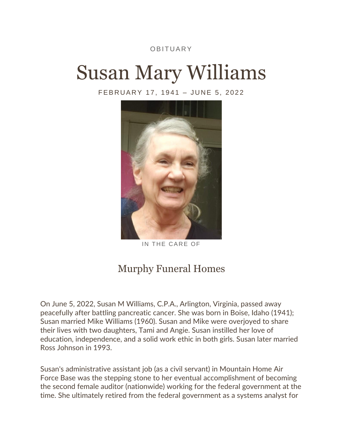## **OBITUARY**

## Susan Mary Williams

FEBRUARY 17, 1941 - JUNE 5, 2022



IN THE CARE OF

## [Murphy Funeral Homes](https://www.dignitymemorial.com/funeral-homes/arlington-va/murphy-funeral-homes/1143)

On June 5, 2022, Susan M Williams, C.P.A., Arlington, Virginia, passed away peacefully after battling pancreatic cancer. She was born in Boise, Idaho (1941); Susan married Mike Williams (1960). Susan and Mike were overjoyed to share their lives with two daughters, Tami and Angie. Susan instilled her love of education, independence, and a solid work ethic in both girls. Susan later married Ross Johnson in 1993.

Susan's administrative assistant job (as a civil servant) in Mountain Home Air Force Base was the stepping stone to her eventual accomplishment of becoming the second female auditor (nationwide) working for the federal government at the time. She ultimately retired from the federal government as a systems analyst for